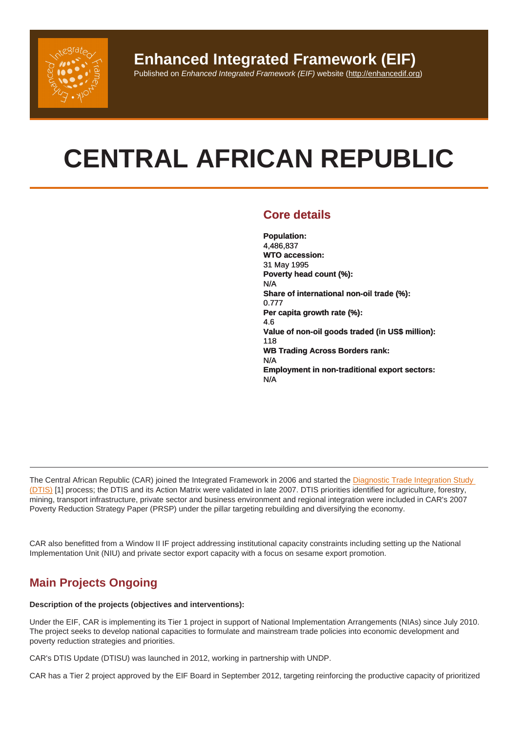# CENTRAL AFRICAN REPUBLIC

## Core details

Population: 4,486,837 WTO accession: 31 May 1995 Poverty head count (%): N/A Share of international non-oil trade (%): 0.777 Per capita growth rate (%): 4.6 Value of non-oil goods traded (in US\$ million): 118 WB Trading Across Borders rank: N/A Employment in non-traditional export sectors: N/A

The Central African Republic (CAR) joined the Integrated Framework in 2006 and started the Diagnostic Trade Integration Study (DTIS) [1] process; the DTIS and its Action Matrix were validated in late 2007. DTIS priorities identified for agriculture, forestry, mining, transport infrastructure, private sector and business environment and regional integration were included in CAR's 2007 Poverty Reduction Strategy Paper (PRSP) under the pillar targeting rebuilding and diversifying the economy.

CAR also benefitted from a Window II IF project addressing institutional capacity constraints including setting up the National Implementation Unit (NIU) and private sector export capacity with a focus on sesame export promotion.

# Main Projects Ongoing

Description of the projects (objectives and interventions):

Under the EIF, CAR is implementing its Tier 1 project in support of National Implementation Arrangements (NIAs) since July 2010. The project seeks to develop national capacities to formulate and mainstream trade policies into economic development and poverty reduction strategies and priorities.

CAR's DTIS Update (DTISU) was launched in 2012, working in partnership with UNDP.

CAR has a Tier 2 project approved by the EIF Board in September 2012, targeting reinforcing the productive capacity of prioritized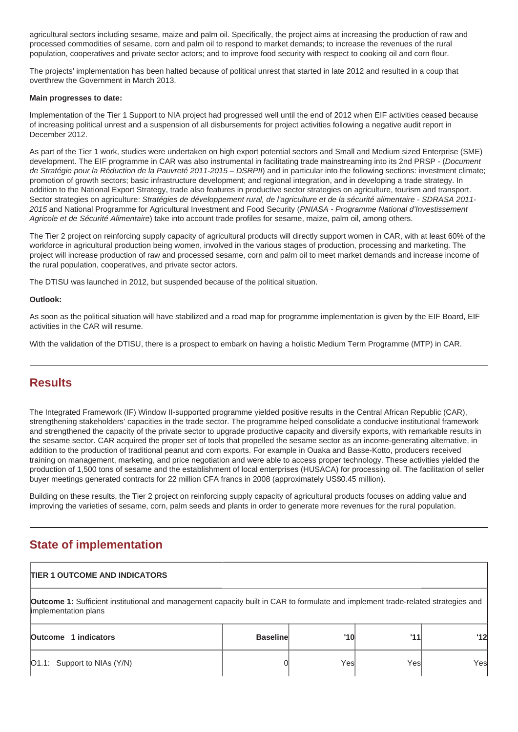agricultural sectors including sesame, maize and palm oil. Specifically, the project aims at increasing the production of raw and processed commodities of sesame, corn and palm oil to respond to market demands; to increase the revenues of the rural population, cooperatives and private sector actors; and to improve food security with respect to cooking oil and corn flour.

The projects' implementation has been halted because of political unrest that started in late 2012 and resulted in a coup that overthrew the Government in March 2013.

#### **Main progresses to date:**

Implementation of the Tier 1 Support to NIA project had progressed well until the end of 2012 when EIF activities ceased because of increasing political unrest and a suspension of all disbursements for project activities following a negative audit report in December 2012.

As part of the Tier 1 work, studies were undertaken on high export potential sectors and Small and Medium sized Enterprise (SME) development. The EIF programme in CAR was also instrumental in facilitating trade mainstreaming into its 2nd PRSP - (*Document* de Stratégie pour la Réduction de la Pauvreté 2011-2015 – DSRPII) and in particular into the following sections: investment climate; promotion of growth sectors; basic infrastructure development; and regional integration, and in developing a trade strategy. In addition to the National Export Strategy, trade also features in productive sector strategies on agriculture, tourism and transport. Sector strategies on agriculture: Stratégies de développement rural, de l'agriculture et de la sécurité alimentaire - SDRASA 2011-2015 and National Programme for Agricultural Investment and Food Security (PNIASA - Programme National d'Investissement Agricole et de Sécurité Alimentaire) take into account trade profiles for sesame, maize, palm oil, among others.

The Tier 2 project on reinforcing supply capacity of agricultural products will directly support women in CAR, with at least 60% of the workforce in agricultural production being women, involved in the various stages of production, processing and marketing. The project will increase production of raw and processed sesame, corn and palm oil to meet market demands and increase income of the rural population, cooperatives, and private sector actors.

The DTISU was launched in 2012, but suspended because of the political situation.

#### **Outlook:**

As soon as the political situation will have stabilized and a road map for programme implementation is given by the EIF Board, EIF activities in the CAR will resume.

With the validation of the DTISU, there is a prospect to embark on having a holistic Medium Term Programme (MTP) in CAR.

### **Results**

The Integrated Framework (IF) Window II-supported programme yielded positive results in the Central African Republic (CAR), strengthening stakeholders' capacities in the trade sector. The programme helped consolidate a conducive institutional framework and strengthened the capacity of the private sector to upgrade productive capacity and diversify exports, with remarkable results in the sesame sector. CAR acquired the proper set of tools that propelled the sesame sector as an income-generating alternative, in addition to the production of traditional peanut and corn exports. For example in Ouaka and Basse-Kotto, producers received training on management, marketing, and price negotiation and were able to access proper technology. These activities yielded the production of 1,500 tons of sesame and the establishment of local enterprises (HUSACA) for processing oil. The facilitation of seller buyer meetings generated contracts for 22 million CFA francs in 2008 (approximately US\$0.45 million).

Building on these results, the Tier 2 project on reinforcing supply capacity of agricultural products focuses on adding value and improving the varieties of sesame, corn, palm seeds and plants in order to generate more revenues for the rural population.

# **State of implementation**

# **TIER 1 OUTCOME AND INDICATORS Outcome 1:** Sufficient institutional and management capacity built in CAR to formulate and implement trade-related strategies and implementation plans **Outcome 1 indicators Baseline '10 '11 '12** O1.1: Support to NIAs (Y/N) 0 Yes Yes Yes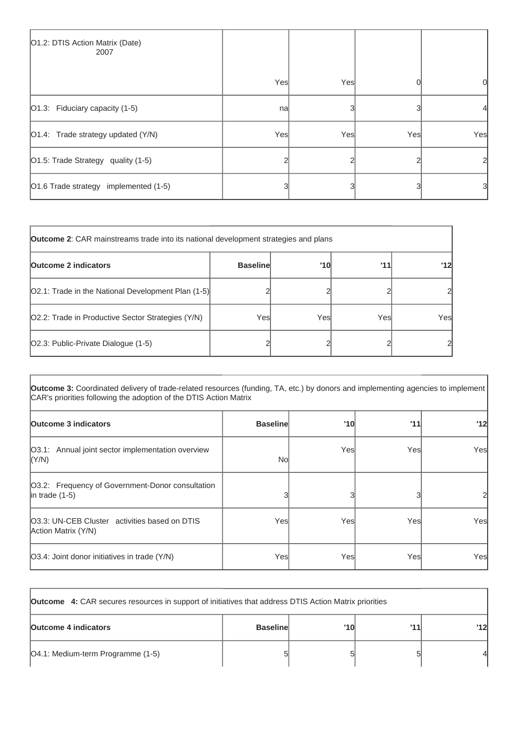| O1.2: DTIS Action Matrix (Date)<br>2007 |     |     |     |     |
|-----------------------------------------|-----|-----|-----|-----|
|                                         | Yes | Yes |     | 0   |
| $\vert$ O1.3: Fiduciary capacity (1-5)  | nal |     |     |     |
| O1.4: Trade strategy updated (Y/N)      | Yes | Yes | Yes | Yes |
| O1.5: Trade Strategy quality (1-5)      |     |     |     |     |
| O1.6 Trade strategy implemented (1-5)   |     |     |     | 31  |

| <b>Outcome 2:</b> CAR mainstreams trade into its national development strategies and plans |                 |      |     |                |
|--------------------------------------------------------------------------------------------|-----------------|------|-----|----------------|
| <b>Outcome 2 indicators</b>                                                                | <b>Baseline</b> | '10  | 111 | '12            |
| [O2.1: Trade in the National Development Plan (1-5)]                                       |                 |      |     | 2              |
| O2.2: Trade in Productive Sector Strategies (Y/N)                                          | Yesl            | Yesl | Yes | Yes            |
| [O2.3: Public-Private Dialogue (1-5)                                                       |                 |      |     | $\overline{c}$ |

**Outcome 3:** Coordinated delivery of trade-related resources (funding, TA, etc.) by donors and implementing agencies to implement CAR's priorities following the adoption of the DTIS Action Matrix

| <b>Outcome 3 indicators</b>                                              | <b>Baseline</b> | '10  | '11  | '12 |
|--------------------------------------------------------------------------|-----------------|------|------|-----|
| [O3.1: Annual joint sector implementation overview<br>(Y/N)              | Nol             | Yesl | Yesl | Yes |
| O3.2: Frequency of Government-Donor consultation<br>$ $ in trade $(1-5)$ |                 |      |      |     |
| 03.3: UN-CEB Cluster activities based on DTIS<br>Action Matrix (Y/N)     | Yesl            | Yesl | Yesl | Yes |
| O3.4: Joint donor initiatives in trade (Y/N)                             | Yesl            | Yesl | Yes  | Yes |

| <b>Outcome</b> 4: CAR secures resources in support of initiatives that address DTIS Action Matrix priorities |                 |     |     |    |
|--------------------------------------------------------------------------------------------------------------|-----------------|-----|-----|----|
| <b>Outcome 4 indicators</b>                                                                                  | <b>Baseline</b> | '10 | 111 | 12 |
| [O4.1: Medium-term Programme (1-5)                                                                           |                 |     |     |    |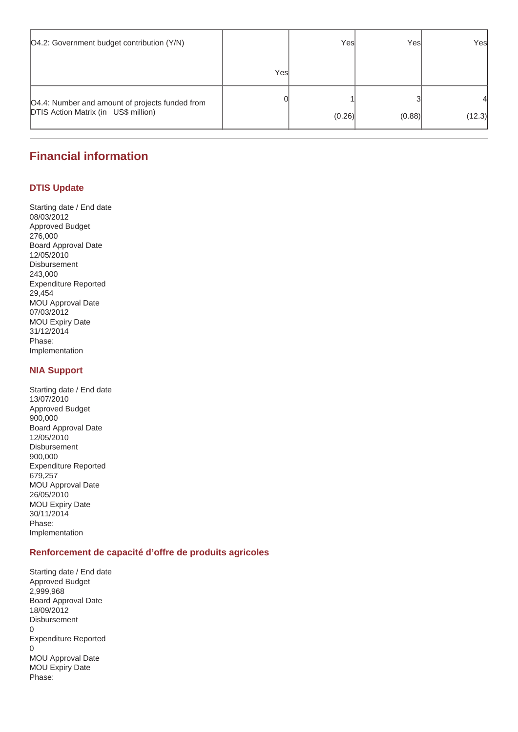| O4.2: Government budget contribution (Y/N)                                                     |      | Yesl   | Yesl   | Yes         |
|------------------------------------------------------------------------------------------------|------|--------|--------|-------------|
|                                                                                                | Yesl |        |        |             |
| O4.4: Number and amount of projects funded from<br><b>DTIS Action Matrix (in US\$ million)</b> |      | (0.26) | (0.88) | 4<br>(12.3) |

# **Financial information**

#### **DTIS Update**

Starting date / End date 08/03/2012 Approved Budget 276,000 Board Approval Date 12/05/2010 Disbursement 243,000 Expenditure Reported 29,454 MOU Approval Date 07/03/2012 MOU Expiry Date 31/12/2014 Phase: Implementation

#### **NIA Support**

Starting date / End date 13/07/2010 Approved Budget 900,000 Board Approval Date 12/05/2010 Disbursement 900,000 Expenditure Reported 679,257 MOU Approval Date 26/05/2010 MOU Expiry Date 30/11/2014 Phase: Implementation

#### **Renforcement de capacité d'offre de produits agricoles**

Starting date / End date Approved Budget 2,999,968 Board Approval Date 18/09/2012 Disbursement 0 Expenditure Reported 0 MOU Approval Date MOU Expiry Date Phase: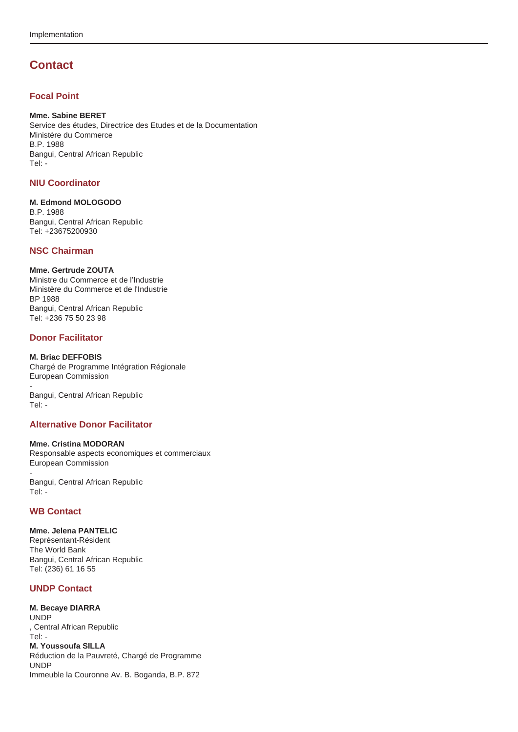# **Contact**

#### **Focal Point**

#### **Mme. Sabine BERET**

Service des études, Directrice des Etudes et de la Documentation Ministère du Commerce B.P. 1988 Bangui, Central African Republic Tel: -

#### **NIU Coordinator**

#### **M. Edmond MOLOGODO**

B.P. 1988 Bangui, Central African Republic Tel: +23675200930

#### **NSC Chairman**

#### **Mme. Gertrude ZOUTA**

Ministre du Commerce et de l'Industrie Ministère du Commerce et de l'Industrie BP 1988 Bangui, Central African Republic Tel: +236 75 50 23 98

#### **Donor Facilitator**

#### **M. Briac DEFFOBIS**

Chargé de Programme Intégration Régionale European Commission

- Bangui, Central African Republic Tel: -

#### **Alternative Donor Facilitator**

#### **Mme. Cristina MODORAN**

Responsable aspects economiques et commerciaux European Commission

Bangui, Central African Republic Tel: -

#### **WB Contact**

-

#### **Mme. Jelena PANTELIC** Représentant-Résident

The World Bank Bangui, Central African Republic Tel: (236) 61 16 55

#### **UNDP Contact**

#### **M. Becaye DIARRA** UNDP , Central African Republic Tel: - **M. Youssoufa SILLA** Réduction de la Pauvreté, Chargé de Programme UNDP Immeuble la Couronne Av. B. Boganda, B.P. 872